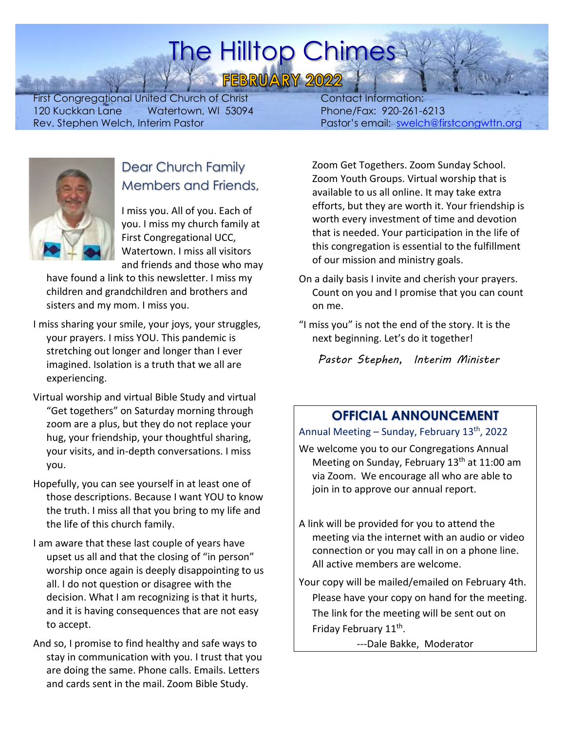# The Hilltop Chimes

FEBRUARY 2022

First Congregational United Church of Christ 120 Kuckkan Lane Watertown, WI 53094 Rev. Stephen Welch, Interim Pastor

 Contact Information: Phone/Fax: 920-261-6213 Pastor's email: [swelch@firstcongwttn.org](mailto:swelch@firstcongwttn.org)



### Dear Church Family Members and Friends,

I miss you. All of you. Each of you. I miss my church family at First Congregational UCC, Watertown. I miss all visitors and friends and those who may

have found a link to this newsletter. I miss my children and grandchildren and brothers and sisters and my mom. I miss you.

- I miss sharing your smile, your joys, your struggles, your prayers. I miss YOU. This pandemic is stretching out longer and longer than I ever imagined. Isolation is a truth that we all are experiencing.
- Virtual worship and virtual Bible Study and virtual "Get togethers" on Saturday morning through zoom are a plus, but they do not replace your hug, your friendship, your thoughtful sharing, your visits, and in-depth conversations. I miss you.
- Hopefully, you can see yourself in at least one of those descriptions. Because I want YOU to know the truth. I miss all that you bring to my life and the life of this church family.
- I am aware that these last couple of years have upset us all and that the closing of "in person" worship once again is deeply disappointing to us all. I do not question or disagree with the decision. What I am recognizing is that it hurts, and it is having consequences that are not easy to accept.
- And so, I promise to find healthy and safe ways to stay in communication with you. I trust that you are doing the same. Phone calls. Emails. Letters and cards sent in the mail. Zoom Bible Study.

Zoom Get Togethers. Zoom Sunday School. Zoom Youth Groups. Virtual worship that is available to us all online. It may take extra efforts, but they are worth it. Your friendship is worth every investment of time and devotion that is needed. Your participation in the life of this congregation is essential to the fulfillment of our mission and ministry goals.

- On a daily basis I invite and cherish your prayers. Count on you and I promise that you can count on me.
- "I miss you" is not the end of the story. It is the next beginning. Let's do it together!

*Pastor Stephen, Interim Minister*

### **OFFICIAL ANNOUNCEMENT**

Annual Meeting – Sunday, February 13<sup>th</sup>, 2022

We welcome you to our Congregations Annual Meeting on Sunday, February 13<sup>th</sup> at 11:00 am via Zoom. We encourage all who are able to join in to approve our annual report.

- A link will be provided for you to attend the meeting via the internet with an audio or video connection or you may call in on a phone line. All active members are welcome.
- Your copy will be mailed/emailed on February 4th. Please have your copy on hand for the meeting. The link for the meeting will be sent out on Friday February 11<sup>th</sup>.

---Dale Bakke, Moderator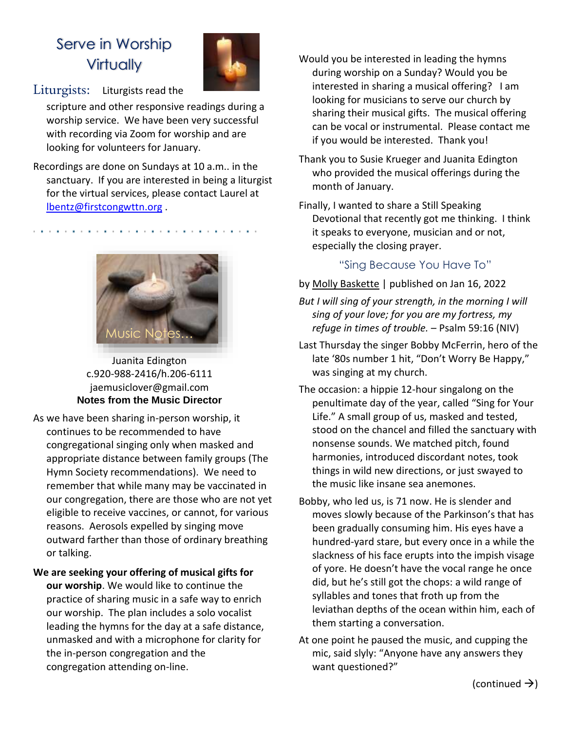## Serve in Worship **Virtually**



#### Liturgists: Liturgists read the

scripture and other responsive readings during a worship service. We have been very successful with recording via Zoom for worship and are looking for volunteers for January.

Recordings are done on Sundays at 10 a.m.. in the sanctuary. If you are interested in being a liturgist for the virtual services, please contact Laurel at [lbentz@firstcongwttn.org](mailto:lbentz@firstcongwttn.org) .



Juanita Edington c.920-988-2416/h.206-6111 [jaemusiclover@gmail.com](mailto:jaemusiclover@gmail.com) **Notes from the Music Director**

- As we have been sharing in-person worship, it continues to be recommended to have congregational singing only when masked and appropriate distance between family groups (The Hymn Society recommendations). We need to remember that while many may be vaccinated in our congregation, there are those who are not yet eligible to receive vaccines, or cannot, for various reasons. Aerosols expelled by singing move outward farther than those of ordinary breathing or talking.
- **We are seeking your offering of musical gifts for our worship**. We would like to continue the practice of sharing music in a safe way to enrich our worship. The plan includes a solo vocalist leading the hymns for the day at a safe distance, unmasked and with a microphone for clarity for the in-person congregation and the congregation attending on-line.
- Would you be interested in leading the hymns during worship on a Sunday? Would you be interested in sharing a musical offering? I am looking for musicians to serve our church by sharing their musical gifts. The musical offering can be vocal or instrumental. Please contact me if you would be interested. Thank you!
- Thank you to Susie Krueger and Juanita Edington who provided the musical offerings during the month of January.
- Finally, I wanted to share a Still Speaking Devotional that recently got me thinking. I think it speaks to everyone, musician and or not, especially the closing prayer.

#### "Sing Because You Have To"

#### by [Molly Baskette](https://www.ucc.org/byline/molly-baskette/) | published on Jan 16, 2022

- *But I will sing of your strength, in the morning I will sing of your love; for you are my fortress, my refuge in times of trouble.* – Psalm 59:16 (NIV)
- Last Thursday the singer Bobby McFerrin, hero of the late '80s number 1 hit, "Don't Worry Be Happy," was singing at my church.
- The occasion: a hippie 12-hour singalong on the penultimate day of the year, called "Sing for Your Life." A small group of us, masked and tested, stood on the chancel and filled the sanctuary with nonsense sounds. We matched pitch, found harmonies, introduced discordant notes, took things in wild new directions, or just swayed to the music like insane sea anemones.
- Bobby, who led us, is 71 now. He is slender and moves slowly because of the Parkinson's that has been gradually consuming him. His eyes have a hundred-yard stare, but every once in a while the slackness of his face erupts into the impish visage of yore. He doesn't have the vocal range he once did, but he's still got the chops: a wild range of syllables and tones that froth up from the leviathan depths of the ocean within him, each of them starting a conversation.
- At one point he paused the music, and cupping the mic, said slyly: "Anyone have any answers they want questioned?"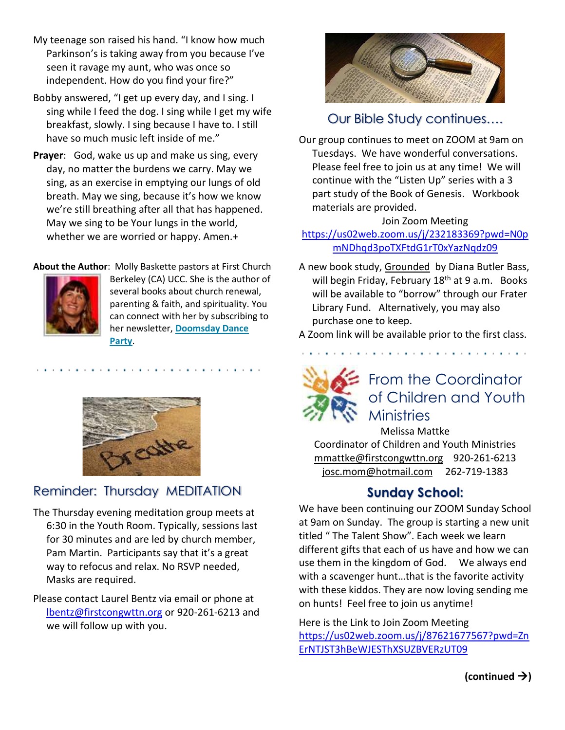- My teenage son raised his hand. "I know how much Parkinson's is taking away from you because I've seen it ravage my aunt, who was once so independent. How do you find your fire?"
- Bobby answered, "I get up every day, and I sing. I sing while I feed the dog. I sing while I get my wife breakfast, slowly. I sing because I have to. I still have so much music left inside of me."
- **Prayer**: God, wake us up and make us sing, every day, no matter the burdens we carry. May we sing, as an exercise in emptying our lungs of old breath. May we sing, because it's how we know we're still breathing after all that has happened. May we sing to be Your lungs in the world, whether we are worried or happy. Amen.+

#### **About the Author**: Molly Baskette pastors at First Church



Berkeley (CA) UCC. She is the author of several books about church renewal, parenting & faith, and spirituality. You can connect with her by subscribing to her newsletter, **[Doomsday Dance](https://gmail.us2.list-manage.com/subscribe?u=a1c3879a43bc068355074b89c&id=d3203e151c)  [Party](https://gmail.us2.list-manage.com/subscribe?u=a1c3879a43bc068355074b89c&id=d3203e151c)**.



### Reminder: Thursday MEDITATION

- The Thursday evening meditation group meets at 6:30 in the Youth Room. Typically, sessions last for 30 minutes and are led by church member, Pam Martin. Participants say that it's a great way to refocus and relax. No RSVP needed, Masks are required.
- Please contact Laurel Bentz via email or phone at [lbentz@firstcongwttn.org](mailto:lbentz@firstcongwttn.org) or 920-261-6213 and we will follow up with you.



#### Our Bible Study continues….

Our group continues to meet on ZOOM at 9am on Tuesdays. We have wonderful conversations. Please feel free to join us at any time! We will continue with the "Listen Up" series with a 3 part study of the Book of Genesis. Workbook materials are provided.

#### Join Zoom Meeting

#### [https://us02web.zoom.us/j/232183369?pwd=N0p](https://us02web.zoom.us/j/232183369?pwd=N0pmNDhqd3poTXFtdG1rT0xYazNqdz09) [mNDhqd3poTXFtdG1rT0xYazNqdz09](https://us02web.zoom.us/j/232183369?pwd=N0pmNDhqd3poTXFtdG1rT0xYazNqdz09)

A new book study, Grounded by Diana Butler Bass, will begin Friday, February 18<sup>th</sup> at 9 a.m. Books will be available to "borrow" through our Frater Library Fund. Alternatively, you may also purchase one to keep.

A Zoom link will be available prior to the first class.



### From the Coordinator of Children and Youth **Ministries**

Melissa Mattke Coordinator of Children and Youth Ministries [mmattke@firstcongwttn.org](mailto:mmattke@firstcongwttn.org) 920-261-6213 [josc.mom@hotmail.com](mailto:josc.mom@hotmail.com) 262-719-1383

#### **Sunday School:**

We have been continuing our ZOOM Sunday School at 9am on Sunday. The group is starting a new unit titled " The Talent Show". Each week we learn different gifts that each of us have and how we can use them in the kingdom of God. We always end with a scavenger hunt…that is the favorite activity with these kiddos. They are now loving sending me on hunts! Feel free to join us anytime!

Here is the Link to Join Zoom Meeting [https://us02web.zoom.us/j/87621677567?pwd=Zn](https://us02web.zoom.us/j/87621677567?pwd=ZnErNTJST3hBeWJESThXSUZBVERzUT09) [ErNTJST3hBeWJESThXSUZBVERzUT09](https://us02web.zoom.us/j/87621677567?pwd=ZnErNTJST3hBeWJESThXSUZBVERzUT09)

**(continued** →**)**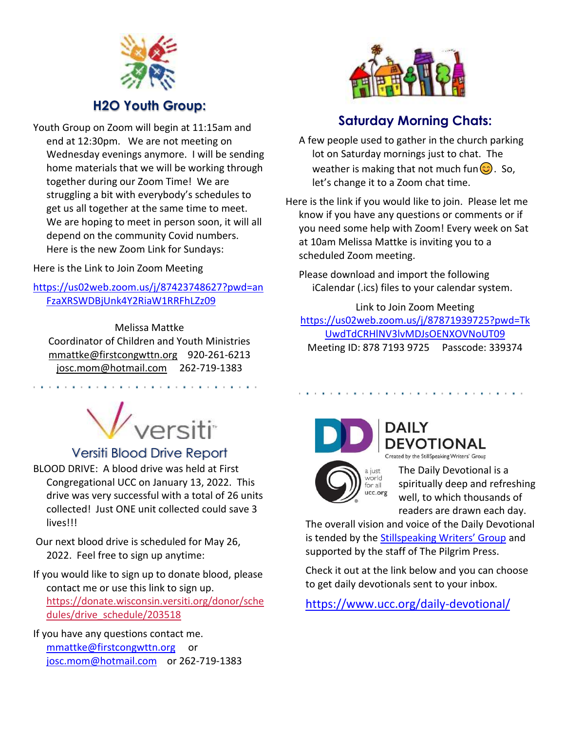

### **H2O Youth Group:**

Youth Group on Zoom will begin at 11:15am and end at 12:30pm. We are not meeting on Wednesday evenings anymore. I will be sending home materials that we will be working through together during our Zoom Time! We are struggling a bit with everybody's schedules to get us all together at the same time to meet. We are hoping to meet in person soon, it will all depend on the community Covid numbers. Here is the new Zoom Link for Sundays:

Here is the Link to Join Zoom Meeting

[https://us02web.zoom.us/j/87423748627?pwd=an](https://us02web.zoom.us/j/87423748627?pwd=anFzaXRSWDBjUnk4Y2RiaW1RRFhLZz09) [FzaXRSWDBjUnk4Y2RiaW1RRFhLZz09](https://us02web.zoom.us/j/87423748627?pwd=anFzaXRSWDBjUnk4Y2RiaW1RRFhLZz09)

Melissa Mattke Coordinator of Children and Youth Ministries [mmattke@firstcongwttn.org](mailto:mmattke@firstcongwttn.org) 920-261-6213 [josc.mom@hotmail.com](mailto:josc.mom@hotmail.com) 262-719-1383



### Versiti Blood Drive Report

BLOOD DRIVE: A blood drive was held at First Congregational UCC on January 13, 2022. This drive was very successful with a total of 26 units collected! Just ONE unit collected could save 3 lives!!!

Our next blood drive is scheduled for May 26, 2022. Feel free to sign up anytime:

If you would like to sign up to donate blood, please contact me or use this link to sign up. [https://donate.wisconsin.versiti.org/donor/sche](https://donate.wisconsin.versiti.org/donor/schedules/drive_schedule/203518) [dules/drive\\_schedule/203518](https://donate.wisconsin.versiti.org/donor/schedules/drive_schedule/203518)

If you have any questions contact me. [mmattke@firstcongwttn.org](mailto:mmattke@firstcongwttn.org) or [josc.mom@hotmail.com](mailto:josc.mom@hotmail.com) or 262-719-1383



### **Saturday Morning Chats:**

A few people used to gather in the church parking lot on Saturday mornings just to chat. The weather is making that not much fun $\circled{c}$ . So, let's change it to a Zoom chat time.

Here is the link if you would like to join. Please let me know if you have any questions or comments or if you need some help with Zoom! Every week on Sat at 10am Melissa Mattke is inviting you to a scheduled Zoom meeting.

Please download and import the following iCalendar (.ics) files to your calendar system.

Link to Join Zoom Meeting [https://us02web.zoom.us/j/87871939725?pwd=Tk](https://us02web.zoom.us/j/87871939725?pwd=TkUwdTdCRHlNV3lvMDJsOENXOVNoUT09) [UwdTdCRHlNV3lvMDJsOENXOVNoUT09](https://us02web.zoom.us/j/87871939725?pwd=TkUwdTdCRHlNV3lvMDJsOENXOVNoUT09) Meeting ID: 878 7193 9725 Passcode: 339374



**DEVOTIONAL** Created by the StillSpeaking Writers' Group

a just world for all ucc.org

The Daily Devotional is a spiritually deep and refreshing well, to which thousands of readers are drawn each day.

The overall vision and voice of the Daily Devotional is tended by the [Stillspeaking Writers' Group](https://www.ucc.org/stillspeaking-writers/) and supported by the staff of The Pilgrim Press.

Check it out at the link below and you can choose to get daily devotionals sent to your inbox.

https://www.ucc.org/daily-devotional/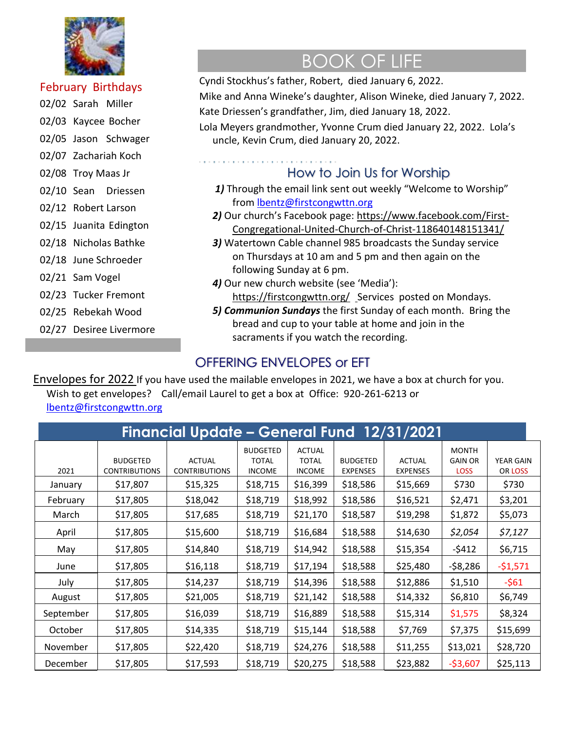

#### February Birthdays

- 02/02 Sarah Miller
- 02/03 Kaycee Bocher
- 02/05 Jason Schwager
- 02/07 Zachariah Koch
- 02/08 Troy Maas Jr
- 02/10 Sean Driessen
- 02/12 Robert Larson
- 02/15 Juanita Edington
- 02/18 Nicholas Bathke
- 02/18 June Schroeder
- 02/21 Sam Vogel
- 02/23 Tucker Fremont
- 02/25 Rebekah Wood
- 02/27 Desiree Livermore

# BOOK OF LIFE

Cyndi Stockhus's father, Robert, died January 6, 2022.

Mike and Anna Wineke's daughter, Alison Wineke, died January 7, 2022. Kate Driessen's grandfather, Jim, died January 18, 2022.

Lola Meyers grandmother, Yvonne Crum died January 22, 2022. Lola's uncle, Kevin Crum, died January 20, 2022.

#### . . . . . . . . . . . . . . . . . How to Join Us for Worship

- 1) Through the email link sent out weekly "Welcome to Worship" from [lbentz@firstcongwttn.org](mailto:lbentz@firstcongwttn.org)
- *2)* Our church's Facebook page: [https://www.facebook.com/First-](https://www.facebook.com/First-Congregational-United-Church-of-Christ-118640148151341/)[Congregational-United-Church-of-Christ-118640148151341/](https://www.facebook.com/First-Congregational-United-Church-of-Christ-118640148151341/)
- *3)* Watertown Cable channel 985 broadcasts the Sunday service on Thursdays at 10 am and 5 pm and then again on the following Sunday at 6 pm.
- *4)* Our new church website (see 'Media'): <https://firstcongwttn.org/>Services posted on Mondays.
- *5) Communion Sundays* the first Sunday of each month. Bring the bread and cup to your table at home and join in the sacraments if you watch the recording.

### OFFERING ENVELOPES or EFT

Envelopes for 2022 If you have used the mailable envelopes in 2021, we have a box at church for you. Wish to get envelopes? Call/email Laurel to get a box at Office: 920-261-6213 or [lbentz@firstcongwttn.org](mailto:lbentz@firstcongwttn.org)

| Financial Update – General Fund 12/31/2021 |                                         |                                       |                                                  |                                                |                                    |                                  |                                               |                             |  |  |  |  |  |
|--------------------------------------------|-----------------------------------------|---------------------------------------|--------------------------------------------------|------------------------------------------------|------------------------------------|----------------------------------|-----------------------------------------------|-----------------------------|--|--|--|--|--|
| 2021                                       | <b>BUDGETED</b><br><b>CONTRIBUTIONS</b> | <b>ACTUAL</b><br><b>CONTRIBUTIONS</b> | <b>BUDGETED</b><br><b>TOTAL</b><br><b>INCOME</b> | <b>ACTUAL</b><br><b>TOTAL</b><br><b>INCOME</b> | <b>BUDGETED</b><br><b>EXPENSES</b> | <b>ACTUAL</b><br><b>EXPENSES</b> | <b>MONTH</b><br><b>GAIN OR</b><br><b>LOSS</b> | <b>YEAR GAIN</b><br>OR LOSS |  |  |  |  |  |
| January                                    | \$17,807                                | \$15,325                              | \$18,715                                         | \$16,399                                       | \$18,586                           | \$15,669                         | \$730                                         | \$730                       |  |  |  |  |  |
| February                                   | \$17,805                                | \$18,042                              | \$18,719                                         | \$18,992                                       | \$18,586                           | \$16,521                         | \$2,471                                       | \$3,201                     |  |  |  |  |  |
| March                                      | \$17,805                                | \$17,685                              | \$18,719                                         | \$21,170                                       | \$18,587                           | \$19,298                         | \$1,872                                       | \$5,073                     |  |  |  |  |  |
| April                                      | \$17,805                                | \$15,600                              | \$18,719                                         | \$16,684                                       | \$18,588                           | \$14,630                         | \$2,054                                       | \$7,127                     |  |  |  |  |  |
| May                                        | \$17,805                                | \$14,840                              | \$18,719                                         | \$14,942                                       | \$18,588                           | \$15,354                         | $-5412$                                       | \$6,715                     |  |  |  |  |  |
| June                                       | \$17,805                                | \$16,118                              | \$18,719                                         | \$17,194                                       | \$18,588                           | \$25,480                         | $-58,286$                                     | $-51,571$                   |  |  |  |  |  |
| July                                       | \$17,805                                | \$14,237                              | \$18,719                                         | \$14,396                                       | \$18,588                           | \$12,886                         | \$1,510                                       | $-561$                      |  |  |  |  |  |
| August                                     | \$17,805                                | \$21,005                              | \$18,719                                         | \$21,142                                       | \$18,588                           | \$14,332                         | \$6,810                                       | \$6,749                     |  |  |  |  |  |
| September                                  | \$17,805                                | \$16,039                              | \$18,719                                         | \$16,889                                       | \$18,588                           | \$15,314                         | \$1,575                                       | \$8,324                     |  |  |  |  |  |
| October                                    | \$17,805                                | \$14,335                              | \$18,719                                         | \$15,144                                       | \$18,588                           | \$7,769                          | \$7,375                                       | \$15,699                    |  |  |  |  |  |
| November                                   | \$17,805                                | \$22,420                              | \$18,719                                         | \$24,276                                       | \$18,588                           | \$11,255                         | \$13,021                                      | \$28,720                    |  |  |  |  |  |
| December                                   | \$17,805                                | \$17,593                              | \$18,719                                         | \$20,275                                       | \$18,588                           | \$23,882                         | $-53,607$                                     | \$25,113                    |  |  |  |  |  |